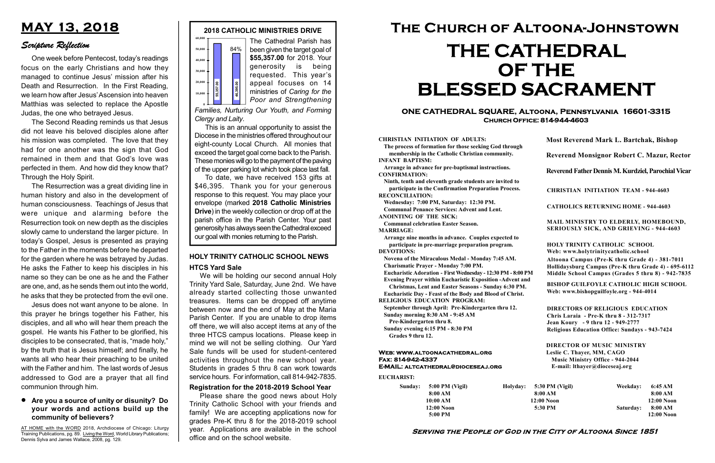# Serving the People of God in the City of Altoona Since 1851

Sunday: 5:00 PM (Vigil) 8:00 AM 10:00 AM 12:00 Noon 5:00 PM

Holyday:

#### Web: www.altoonacathedral.org Fax: 814-942-4337 E-MAIL: altcathedral@dioceseaj.org

EUCHARIST:

#### CHRISTIAN INITIATION OF ADULTS:

The process of formation for those seeking God through membership in the Catholic Christian community. INFANT BAPTISM:

Arrange in advance for pre-baptismal instructions. CONFIRMATION:

Ninth, tenth and eleventh grade students are invited to participate in the Confirmation Preparation Process. RECONCILIATION:

Wednesday: 7:00 PM, Saturday: 12:30 PM. Communal Penance Services: Advent and Lent.

ANOINTING OF THE SICK:

Communal celebration Easter Season. MARRIAGE:

Arrange nine months in advance. Couples expected to participate in pre-marriage preparation program. DEVOTIONS:

Novena of the Miraculous Medal - Monday 7:45 AM. Charismatic Prayer - Monday 7:00 PM.

Eucharistic Adoration - First Wednesday - 12:30 PM - 8:00 PM

Evening Prayer within Eucharistic Exposition -Advent and

Christmas, Lent and Easter Seasons - Sunday 6:30 PM. Eucharistic Day - Feast of the Body and Blood of Christ.

|                       | <b>Most Reverend Mark L. Bartchak, Bishop</b><br>Reverend Monsignor Robert C. Mazur, Rector                                                                                     |           |                         |
|-----------------------|---------------------------------------------------------------------------------------------------------------------------------------------------------------------------------|-----------|-------------------------|
|                       |                                                                                                                                                                                 |           |                         |
|                       | Reverend Father Dennis M. Kurdziel, Parochial Vicar                                                                                                                             |           |                         |
|                       | <b>CHRISTIAN INITIATION TEAM - 944-4603</b>                                                                                                                                     |           |                         |
|                       | <b>CATHOLICS RETURNING HOME - 944-4603</b>                                                                                                                                      |           |                         |
|                       | MAIL MINISTRY TO ELDERLY, HOMEBOUND,<br>SERIOUSLY SICK, AND GRIEVING - 944-4603                                                                                                 |           |                         |
|                       | <b>HOLY TRINITY CATHOLIC SCHOOL</b><br>Web: www.holytrinitycatholic.school                                                                                                      |           |                         |
| М                     | Altoona Campus (Pre-K thru Grade 4) - 381-7011<br>Hollidaysburg Campus (Pre-K thru Grade 4) - 695-6112<br>Middle School Campus (Grades 5 thru 8) - 942-7835                     |           |                         |
| ł                     | <b>BISHOP GUILFOYLE CATHOLIC HIGH SCHOOL</b><br>Web: www.bishopguilfoyle.org - 944-4014                                                                                         |           |                         |
|                       | <b>DIRECTORS OF RELIGIOUS EDUCATION</b><br>Chris Laraia - Pre-K thru 8 - 312-7317<br>Jean Koury - 9 thru 12 - 949-2777<br><b>Religious Education Office: Sundays - 943-7424</b> |           |                         |
|                       | <b>DIRECTOR OF MUSIC MINISTRY</b><br>Leslie C. Thayer, MM, CAGO<br><b>Music Ministry Office - 944-2044</b><br>E-mail: lthayer@dioceseaj.org                                     |           |                         |
| 5:30 PM (Vigil)       |                                                                                                                                                                                 | Weekday:  | 6:45 AM                 |
| 8:00 AM<br>12:00 Noon |                                                                                                                                                                                 |           | 8:00 AM<br>12:00 Noon   |
| 5:30 PM               |                                                                                                                                                                                 | Saturday: | 8:00 AM<br>$12:00$ Noon |
|                       |                                                                                                                                                                                 |           |                         |

RELIGIOUS EDUCATION PROGRAM:

September through April: Pre-Kindergarten thru 12. Sunday morning 8:30 AM - 9:45 AM



Pre-Kindergarten thru 8.

Sunday evening 6:15 PM - 8:30 PM Grades 9 thru 12.

To date, we have received 153 gifts at \$46,395. Thank you for your generous response to this request. You may place your envelope (marked 2018 Catholic Ministries Drive) in the weekly collection or drop off at the parish office in the Parish Center. Your past generosity has always seen the Cathedral exceed The monotogen of the particle with monies returning to the Parish. Nurturing Our Youth, and Forming Clergy and Laity.<br>
This is an annual opportunity to assist the Diocese in the ministries offered throughout our eight-cou

# ONE CATHEDRAL SQUARE, Altoona, Pennsylvania 16601-3315 Church Office: 814-944-4603

# The Church of Altoona-Johnstown THE CATHEDRAL OF THE BLESSED SACRAMENT

Families, Nurturing Our Youth, and Forming Clergy and Laity.

This is an annual opportunity to assist the Diocese in the ministries offered throughout our eight-county Local Church. All monies that exceed the target goal come back to the Parish. These monies will go to the payment of the paving of the upper parking lot which took place last fall.

# HOLY TRINITY CATHOLIC SCHOOL NEWS HTCS Yard Sale

AT HOME with the WORD 2018, Archdiocese of Chicago: Liturgy Training Publications, pg. 89. Living the Word, World Library Publications; Dennis Sylva and James Wallace, 2008, pg. 129.

We will be holding our second annual Holy Trinity Yard Sale, Saturday, June 2nd. We have already started collecting those unwanted treasures. Items can be dropped off anytime between now and the end of May at the Maria Parish Center. If you are unable to drop items off there, we will also accept items at any of the three HTCS campus locations. Please keep in mind we will not be selling clothing. Our Yard Sale funds will be used for student-centered activities throughout the new school year. Students in grades 5 thru 8 can work towards service hours. For information, call 814-942-7835.

# MAY 13, 2018

# Scripture Reflection

# Are you a source of unity or disunity? Do your words and actions build up the community of believers?

One week before Pentecost, today's readings focus on the early Christians and how they managed to continue Jesus' mission after his Death and Resurrection. In the First Reading, we learn how after Jesus' Ascension into heaven Matthias was selected to replace the Apostle Judas, the one who betrayed Jesus.

The Second Reading reminds us that Jesus did not leave his beloved disciples alone after his mission was completed. The love that they had for one another was the sign that God remained in them and that God's love was perfected in them. And how did they know that? Through the Holy Spirit.

The Resurrection was a great dividing line in human history and also in the development of human consciousness. Teachings of Jesus that were unique and alarming before the Resurrection took on new depth as the disciples slowly came to understand the larger picture. In today's Gospel, Jesus is presented as praying to the Father in the moments before he departed for the garden where he was betrayed by Judas. He asks the Father to keep his disciples in his name so they can be one as he and the Father are one, and, as he sends them out into the world, he asks that they be protected from the evil one.

Jesus does not want anyone to be alone. In this prayer he brings together his Father, his disciples, and all who will hear them preach the gospel. He wants his Father to be glorified, his disciples to be consecrated, that is, "made holy," by the truth that is Jesus himself; and finally, he wants all who hear their preaching to be united with the Father and him. The last words of Jesus addressed to God are a prayer that all find communion through him.

# Registration for the 2018-2019 School Year

Please share the good news about Holy Trinity Catholic School with your friends and family! We are accepting applications now for grades Pre-K thru 8 for the 2018-2019 school year. Applications are available in the school office and on the school website.